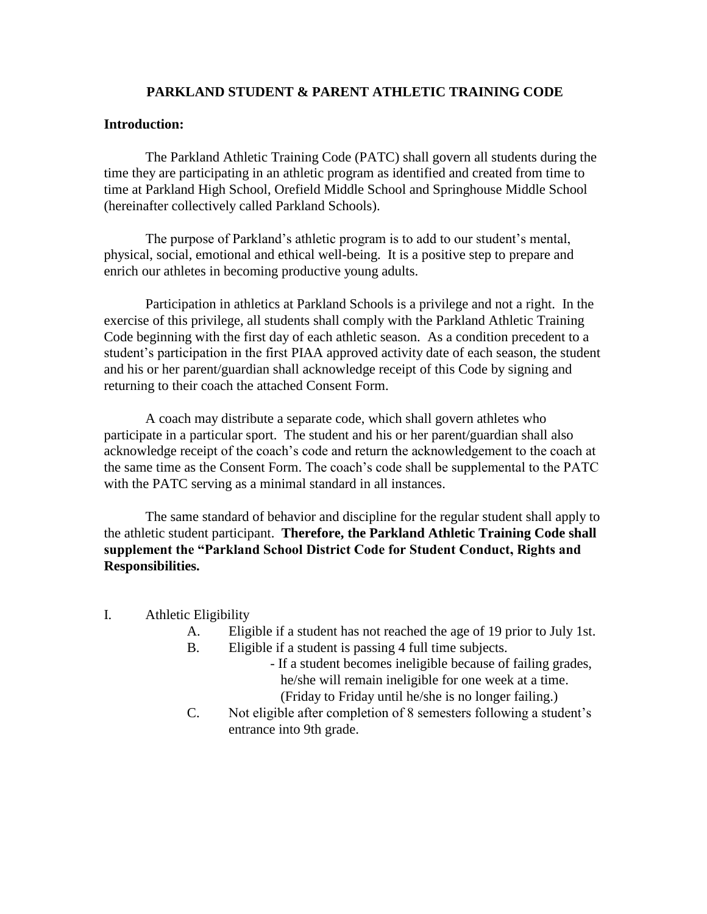## **PARKLAND STUDENT & PARENT ATHLETIC TRAINING CODE**

## **Introduction:**

The Parkland Athletic Training Code (PATC) shall govern all students during the time they are participating in an athletic program as identified and created from time to time at Parkland High School, Orefield Middle School and Springhouse Middle School (hereinafter collectively called Parkland Schools).

The purpose of Parkland's athletic program is to add to our student's mental, physical, social, emotional and ethical well-being. It is a positive step to prepare and enrich our athletes in becoming productive young adults.

Participation in athletics at Parkland Schools is a privilege and not a right. In the exercise of this privilege, all students shall comply with the Parkland Athletic Training Code beginning with the first day of each athletic season. As a condition precedent to a student's participation in the first PIAA approved activity date of each season, the student and his or her parent/guardian shall acknowledge receipt of this Code by signing and returning to their coach the attached Consent Form.

A coach may distribute a separate code, which shall govern athletes who participate in a particular sport. The student and his or her parent/guardian shall also acknowledge receipt of the coach's code and return the acknowledgement to the coach at the same time as the Consent Form. The coach's code shall be supplemental to the PATC with the PATC serving as a minimal standard in all instances.

The same standard of behavior and discipline for the regular student shall apply to the athletic student participant. **Therefore, the Parkland Athletic Training Code shall supplement the "Parkland School District Code for Student Conduct, Rights and Responsibilities.**

- I. Athletic Eligibility
	- A. Eligible if a student has not reached the age of 19 prior to July 1st.
	- B. Eligible if a student is passing 4 full time subjects.
		- If a student becomes ineligible because of failing grades, he/she will remain ineligible for one week at a time. (Friday to Friday until he/she is no longer failing.)
	- C. Not eligible after completion of 8 semesters following a student's entrance into 9th grade.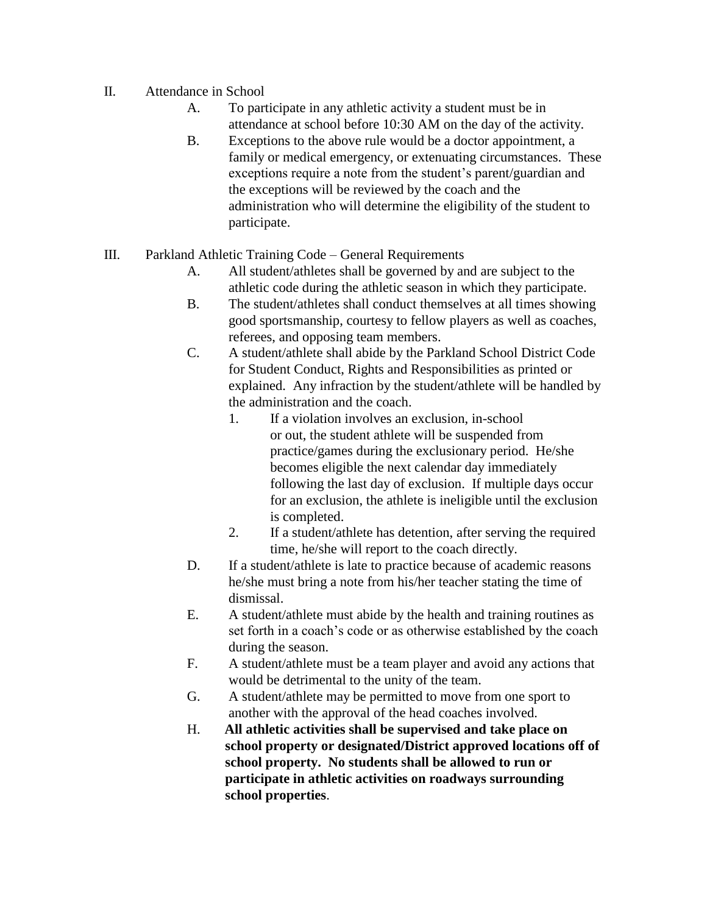- II. Attendance in School
	- A. To participate in any athletic activity a student must be in attendance at school before 10:30 AM on the day of the activity.
	- B. Exceptions to the above rule would be a doctor appointment, a family or medical emergency, or extenuating circumstances. These exceptions require a note from the student's parent/guardian and the exceptions will be reviewed by the coach and the administration who will determine the eligibility of the student to participate.
- III. Parkland Athletic Training Code General Requirements
	- A. All student/athletes shall be governed by and are subject to the athletic code during the athletic season in which they participate.
	- B. The student/athletes shall conduct themselves at all times showing good sportsmanship, courtesy to fellow players as well as coaches, referees, and opposing team members.
	- C. A student/athlete shall abide by the Parkland School District Code for Student Conduct, Rights and Responsibilities as printed or explained. Any infraction by the student/athlete will be handled by the administration and the coach.
		- 1. If a violation involves an exclusion, in-school or out, the student athlete will be suspended from practice/games during the exclusionary period. He/she becomes eligible the next calendar day immediately following the last day of exclusion. If multiple days occur for an exclusion, the athlete is ineligible until the exclusion is completed.
		- 2. If a student/athlete has detention, after serving the required time, he/she will report to the coach directly.
	- D. If a student/athlete is late to practice because of academic reasons he/she must bring a note from his/her teacher stating the time of dismissal.
	- E. A student/athlete must abide by the health and training routines as set forth in a coach's code or as otherwise established by the coach during the season.
	- F. A student/athlete must be a team player and avoid any actions that would be detrimental to the unity of the team.
	- G. A student/athlete may be permitted to move from one sport to another with the approval of the head coaches involved.
	- H. **All athletic activities shall be supervised and take place on school property or designated/District approved locations off of school property. No students shall be allowed to run or participate in athletic activities on roadways surrounding school properties**.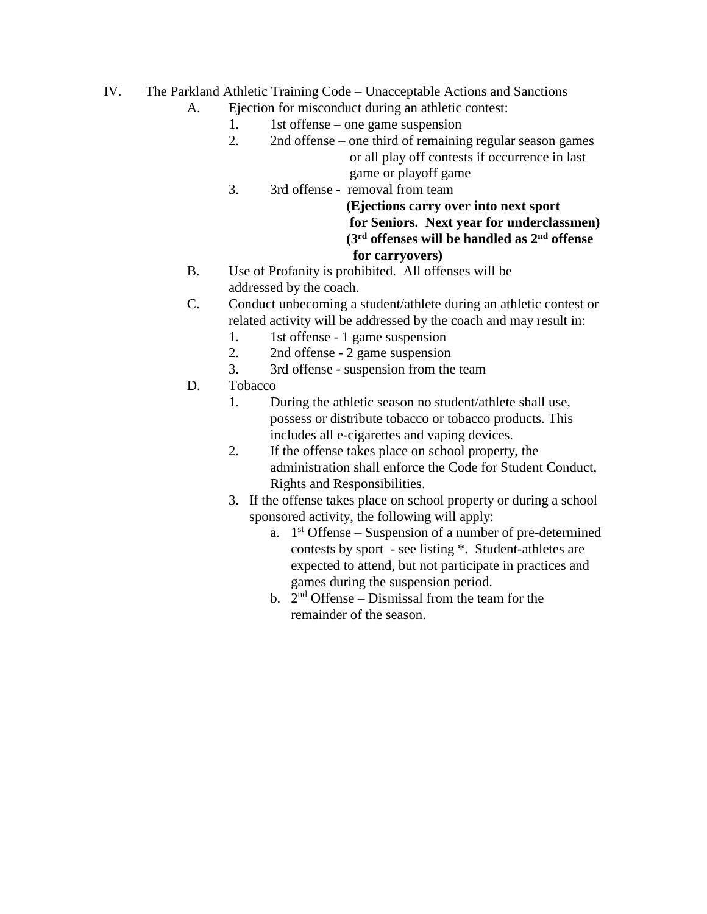- IV. The Parkland Athletic Training Code Unacceptable Actions and Sanctions
	- A. Ejection for misconduct during an athletic contest:
		- 1. 1st offense one game suspension
		- 2. 2nd offense one third of remaining regular season games or all play off contests if occurrence in last game or playoff game
		- 3. 3rd offense removal from team

 **(Ejections carry over into next sport for Seniors. Next year for underclassmen) (3rd offenses will be handled as 2nd offense for carryovers)** 

- B. Use of Profanity is prohibited. All offenses will be addressed by the coach.
- C. Conduct unbecoming a student/athlete during an athletic contest or related activity will be addressed by the coach and may result in:
	- 1. 1st offense 1 game suspension
	- 2. 2nd offense 2 game suspension
	- 3. 3rd offense suspension from the team
- D. Tobacco
	- 1. During the athletic season no student/athlete shall use, possess or distribute tobacco or tobacco products. This includes all e-cigarettes and vaping devices.
	- 2. If the offense takes place on school property, the administration shall enforce the Code for Student Conduct, Rights and Responsibilities.
	- 3. If the offense takes place on school property or during a school sponsored activity, the following will apply:
		- a.  $1<sup>st</sup>$  Offense Suspension of a number of pre-determined contests by sport - see listing \*. Student-athletes are expected to attend, but not participate in practices and games during the suspension period.
		- b.  $2<sup>nd</sup>$  Offense Dismissal from the team for the remainder of the season.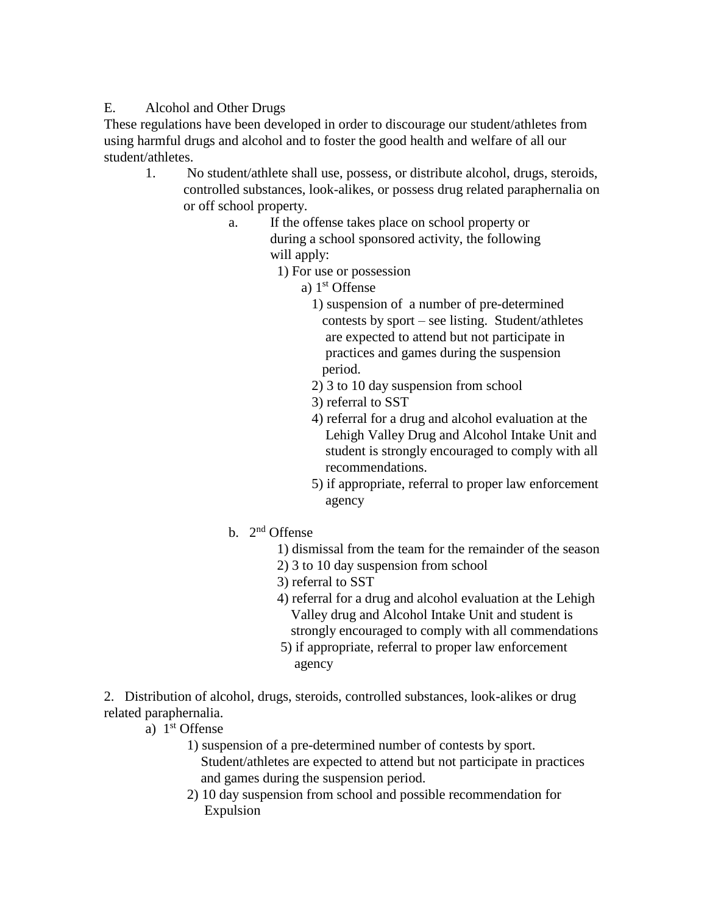## E. Alcohol and Other Drugs

These regulations have been developed in order to discourage our student/athletes from using harmful drugs and alcohol and to foster the good health and welfare of all our student/athletes.

- 1. No student/athlete shall use, possess, or distribute alcohol, drugs, steroids, controlled substances, look-alikes, or possess drug related paraphernalia on or off school property.
	- a. If the offense takes place on school property or during a school sponsored activity, the following will apply:
		- 1) For use or possession
- a) 1 a)  $1<sup>st</sup>$  Offense
	- 1) suspension of a number of pre-determined contests by sport – see listing. Student/athletes are expected to attend but not participate in practices and games during the suspension period.
	- 2) 3 to 10 day suspension from school
	- 3) referral to SST
	- 4) referral for a drug and alcohol evaluation at the Lehigh Valley Drug and Alcohol Intake Unit and student is strongly encouraged to comply with all recommendations.
	- 5) if appropriate, referral to proper law enforcement agency
	- b. 2<sup>nd</sup> Offense
		- 1) dismissal from the team for the remainder of the season
		- 2) 3 to 10 day suspension from school
		- 3) referral to SST
		- 4) referral for a drug and alcohol evaluation at the Lehigh Valley drug and Alcohol Intake Unit and student is strongly encouraged to comply with all commendations
		- 5) if appropriate, referral to proper law enforcement agency

2. Distribution of alcohol, drugs, steroids, controlled substances, look-alikes or drug related paraphernalia.

- a) 1st Offense
	- 1) suspension of a pre-determined number of contests by sport. Student/athletes are expected to attend but not participate in practices and games during the suspension period.
	- 2) 10 day suspension from school and possible recommendation for Expulsion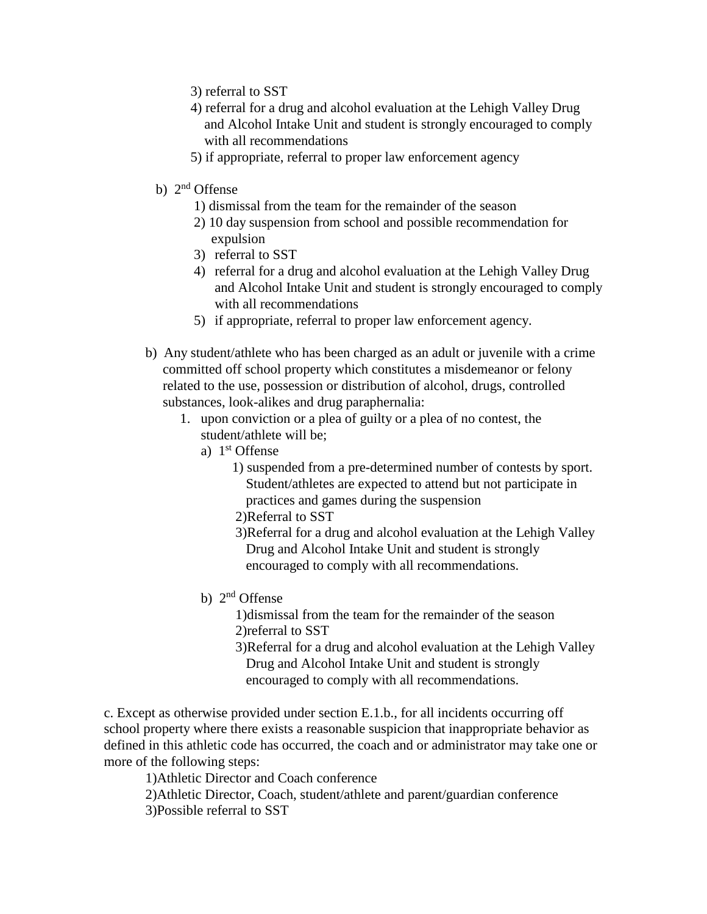- 3) referral to SST
- 4) referral for a drug and alcohol evaluation at the Lehigh Valley Drug and Alcohol Intake Unit and student is strongly encouraged to comply with all recommendations
- 5) if appropriate, referral to proper law enforcement agency
- b) 2nd Offense
	- 1) dismissal from the team for the remainder of the season
	- 2) 10 day suspension from school and possible recommendation for expulsion
	- 3) referral to SST
	- 4) referral for a drug and alcohol evaluation at the Lehigh Valley Drug and Alcohol Intake Unit and student is strongly encouraged to comply with all recommendations
	- 5) if appropriate, referral to proper law enforcement agency.
- b) Any student/athlete who has been charged as an adult or juvenile with a crime committed off school property which constitutes a misdemeanor or felony related to the use, possession or distribution of alcohol, drugs, controlled substances, look-alikes and drug paraphernalia:
	- 1. upon conviction or a plea of guilty or a plea of no contest, the student/athlete will be;
		- a) 1<sup>st</sup> Offense
			- 1) suspended from a pre-determined number of contests by sport. Student/athletes are expected to attend but not participate in practices and games during the suspension
			- 2)Referral to SST
			- 3)Referral for a drug and alcohol evaluation at the Lehigh Valley Drug and Alcohol Intake Unit and student is strongly encouraged to comply with all recommendations.
		- b) 2nd Offense
			- 1)dismissal from the team for the remainder of the season 2)referral to SST
			- 3)Referral for a drug and alcohol evaluation at the Lehigh Valley Drug and Alcohol Intake Unit and student is strongly encouraged to comply with all recommendations.

c. Except as otherwise provided under section E.1.b., for all incidents occurring off school property where there exists a reasonable suspicion that inappropriate behavior as defined in this athletic code has occurred, the coach and or administrator may take one or more of the following steps:

1)Athletic Director and Coach conference

 2)Athletic Director, Coach, student/athlete and parent/guardian conference 3)Possible referral to SST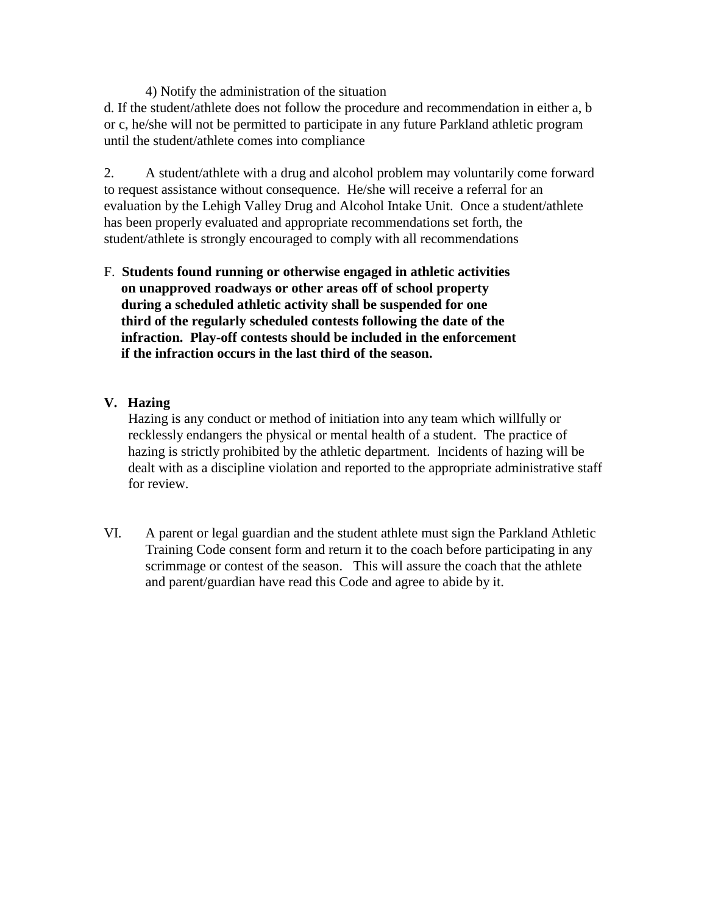4) Notify the administration of the situation

d. If the student/athlete does not follow the procedure and recommendation in either a, b or c, he/she will not be permitted to participate in any future Parkland athletic program until the student/athlete comes into compliance

2. A student/athlete with a drug and alcohol problem may voluntarily come forward to request assistance without consequence. He/she will receive a referral for an evaluation by the Lehigh Valley Drug and Alcohol Intake Unit. Once a student/athlete has been properly evaluated and appropriate recommendations set forth, the student/athlete is strongly encouraged to comply with all recommendations

F. **Students found running or otherwise engaged in athletic activities on unapproved roadways or other areas off of school property during a scheduled athletic activity shall be suspended for one third of the regularly scheduled contests following the date of the infraction. Play-off contests should be included in the enforcement if the infraction occurs in the last third of the season.**

## **V. Hazing**

 Hazing is any conduct or method of initiation into any team which willfully or recklessly endangers the physical or mental health of a student. The practice of hazing is strictly prohibited by the athletic department. Incidents of hazing will be dealt with as a discipline violation and reported to the appropriate administrative staff for review.

VI. A parent or legal guardian and the student athlete must sign the Parkland Athletic Training Code consent form and return it to the coach before participating in any scrimmage or contest of the season. This will assure the coach that the athlete and parent/guardian have read this Code and agree to abide by it.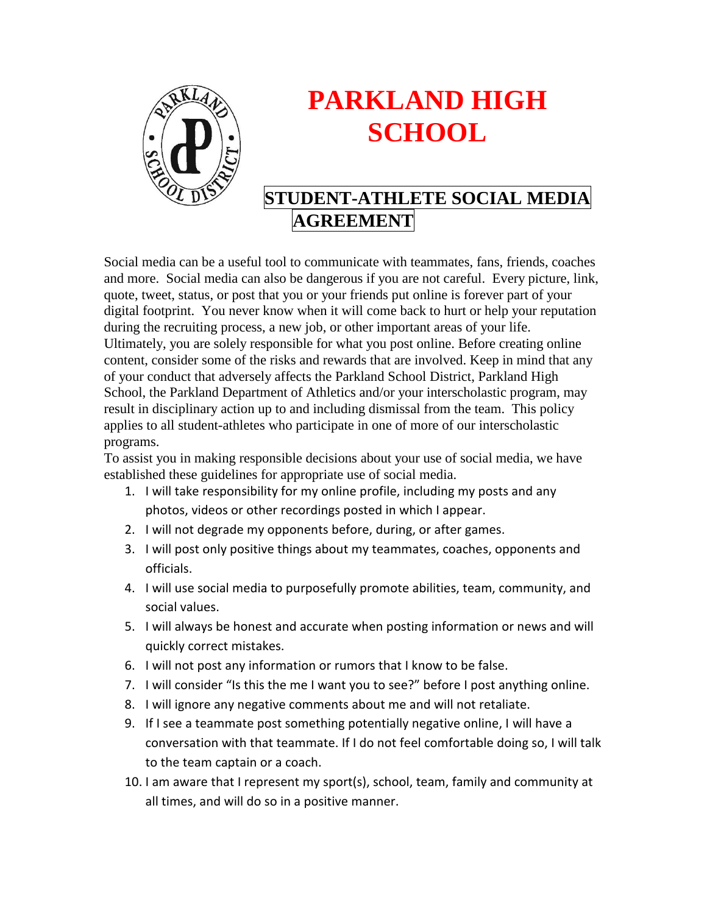

# **PARKLAND HIGH SCHOOL**

## **STUDENT-ATHLETE SOCIAL MEDIA AGREEMENT**

Social media can be a useful tool to communicate with teammates, fans, friends, coaches and more. Social media can also be dangerous if you are not careful. Every picture, link, quote, tweet, status, or post that you or your friends put online is forever part of your digital footprint. You never know when it will come back to hurt or help your reputation during the recruiting process, a new job, or other important areas of your life. Ultimately, you are solely responsible for what you post online. Before creating online content, consider some of the risks and rewards that are involved. Keep in mind that any of your conduct that adversely affects the Parkland School District, Parkland High School, the Parkland Department of Athletics and/or your interscholastic program, may result in disciplinary action up to and including dismissal from the team. This policy applies to all student-athletes who participate in one of more of our interscholastic programs.

To assist you in making responsible decisions about your use of social media, we have established these guidelines for appropriate use of social media.

- 1. I will take responsibility for my online profile, including my posts and any photos, videos or other recordings posted in which I appear.
- 2. I will not degrade my opponents before, during, or after games.
- 3. I will post only positive things about my teammates, coaches, opponents and officials.
- 4. I will use social media to purposefully promote abilities, team, community, and social values.
- 5. I will always be honest and accurate when posting information or news and will quickly correct mistakes.
- 6. I will not post any information or rumors that I know to be false.
- 7. I will consider "Is this the me I want you to see?" before I post anything online.
- 8. I will ignore any negative comments about me and will not retaliate.
- 9. If I see a teammate post something potentially negative online, I will have a conversation with that teammate. If I do not feel comfortable doing so, I will talk to the team captain or a coach.
- 10. I am aware that I represent my sport(s), school, team, family and community at all times, and will do so in a positive manner.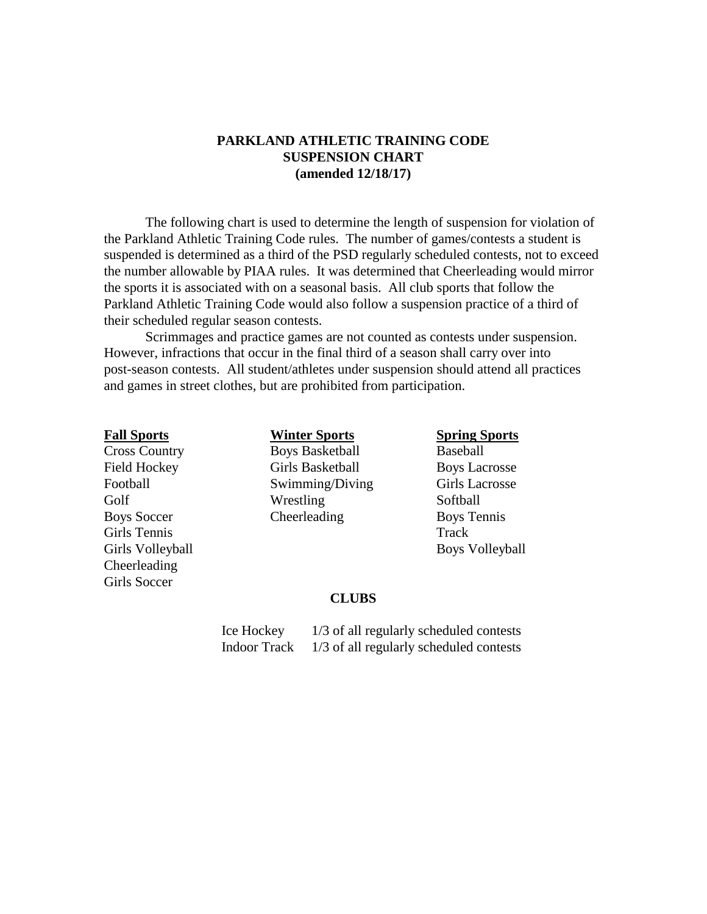## **PARKLAND ATHLETIC TRAINING CODE SUSPENSION CHART (amended 12/18/17)**

The following chart is used to determine the length of suspension for violation of the Parkland Athletic Training Code rules. The number of games/contests a student is suspended is determined as a third of the PSD regularly scheduled contests, not to exceed the number allowable by PIAA rules. It was determined that Cheerleading would mirror the sports it is associated with on a seasonal basis. All club sports that follow the Parkland Athletic Training Code would also follow a suspension practice of a third of their scheduled regular season contests.

Scrimmages and practice games are not counted as contests under suspension. However, infractions that occur in the final third of a season shall carry over into post-season contests. All student/athletes under suspension should attend all practices and games in street clothes, but are prohibited from participation.

Girls Tennis Track Girls Volleyball Boys Volleyball Cheerleading Girls Soccer

**Cross Country Boys Basketball Baseball** Field Hockey Girls Basketball Boys Lacrosse Football Swimming/Diving Girls Lacrosse Golf Wrestling Softball Boys Soccer Cheerleading Boys Tennis

**Fall Sports Winter Sports Spring Sports**

## **CLUBS**

 Ice Hockey 1/3 of all regularly scheduled contests Indoor Track 1/3 of all regularly scheduled contests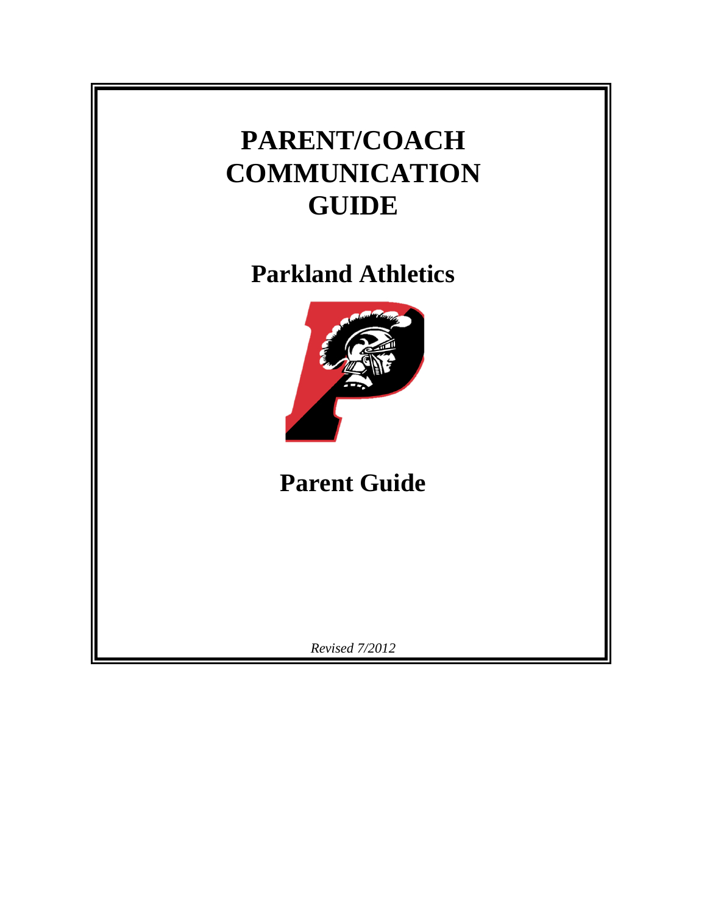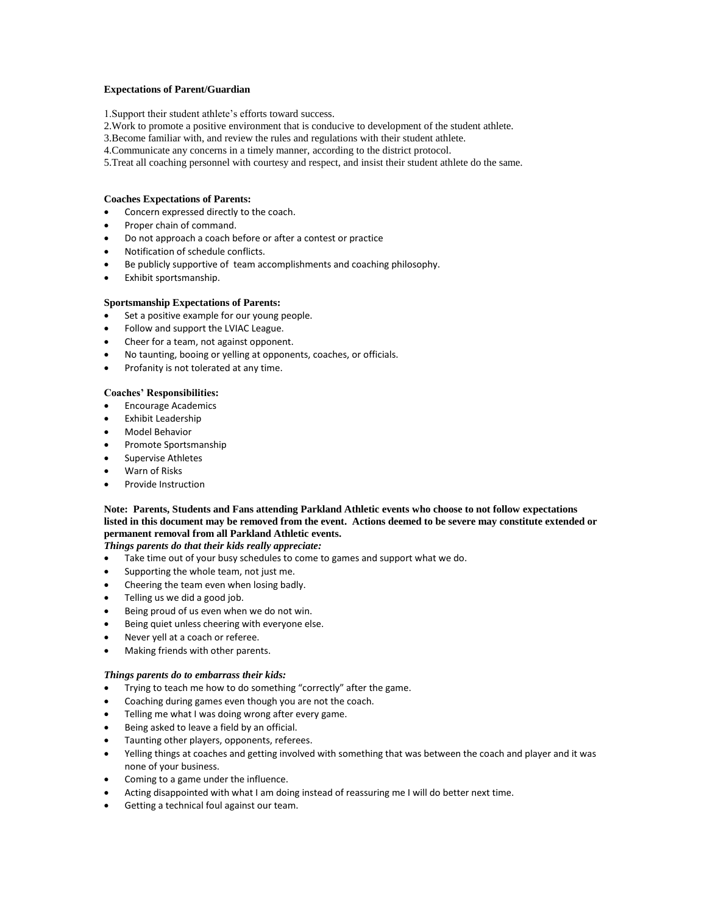### **Expectations of Parent/Guardian**

1.Support their student athlete's efforts toward success.

- 2.Work to promote a positive environment that is conducive to development of the student athlete.
- 3.Become familiar with, and review the rules and regulations with their student athlete.
- 4.Communicate any concerns in a timely manner, according to the district protocol.
- 5.Treat all coaching personnel with courtesy and respect, and insist their student athlete do the same.

### **Coaches Expectations of Parents:**

- Concern expressed directly to the coach.
- Proper chain of command.
- Do not approach a coach before or after a contest or practice
- Notification of schedule conflicts.
- Be publicly supportive of team accomplishments and coaching philosophy.
- Exhibit sportsmanship.

## **Sportsmanship Expectations of Parents:**

- Set a positive example for our young people.
- Follow and support the LVIAC League.
- Cheer for a team, not against opponent.
- No taunting, booing or yelling at opponents, coaches, or officials.
- Profanity is not tolerated at any time.

## **Coaches' Responsibilities:**

- Encourage Academics
- Exhibit Leadership
- Model Behavior
- Promote Sportsmanship
- Supervise Athletes
- Warn of Risks
- Provide Instruction

## **Note: Parents, Students and Fans attending Parkland Athletic events who choose to not follow expectations listed in this document may be removed from the event. Actions deemed to be severe may constitute extended or permanent removal from all Parkland Athletic events.**

## *Things parents do that their kids really appreciate:*

- Take time out of your busy schedules to come to games and support what we do.
- Supporting the whole team, not just me.
- Cheering the team even when losing badly.
- Telling us we did a good job.
- Being proud of us even when we do not win.
- Being quiet unless cheering with everyone else.
- Never yell at a coach or referee.
- Making friends with other parents.

### *Things parents do to embarrass their kids:*

- Trying to teach me how to do something "correctly" after the game.
- Coaching during games even though you are not the coach.
- Telling me what I was doing wrong after every game.
- Being asked to leave a field by an official.
- Taunting other players, opponents, referees.
- Yelling things at coaches and getting involved with something that was between the coach and player and it was none of your business.
- Coming to a game under the influence.
- Acting disappointed with what I am doing instead of reassuring me I will do better next time.
- Getting a technical foul against our team.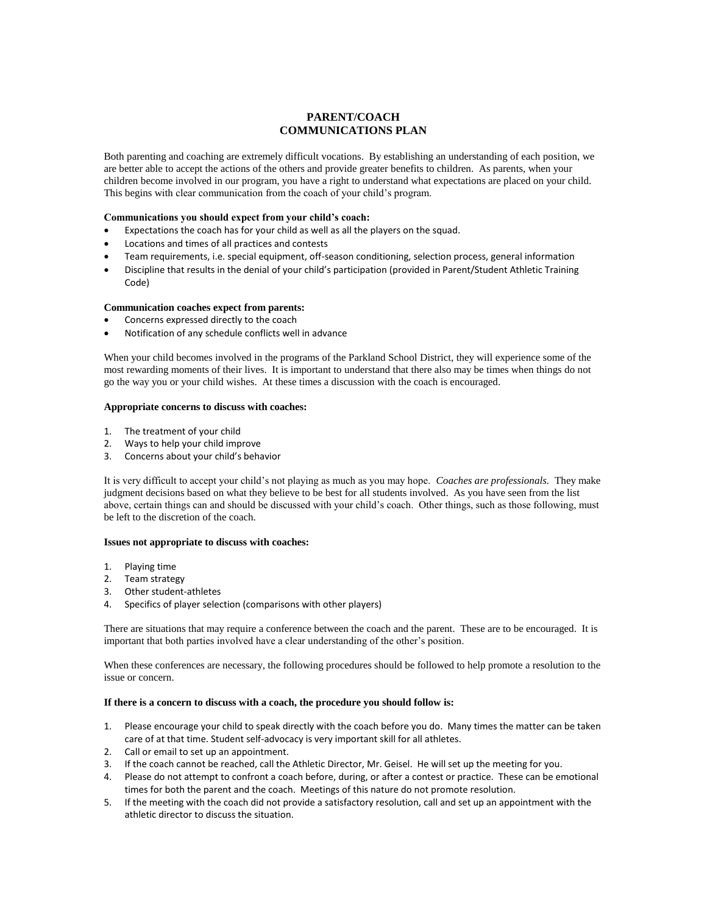## **PARENT/COACH COMMUNICATIONS PLAN**

Both parenting and coaching are extremely difficult vocations. By establishing an understanding of each position, we are better able to accept the actions of the others and provide greater benefits to children. As parents, when your children become involved in our program, you have a right to understand what expectations are placed on your child. This begins with clear communication from the coach of your child's program.

### **Communications you should expect from your child's coach:**

- Expectations the coach has for your child as well as all the players on the squad.
- Locations and times of all practices and contests
- Team requirements, i.e. special equipment, off-season conditioning, selection process, general information
- Discipline that results in the denial of your child's participation (provided in Parent/Student Athletic Training Code)

### **Communication coaches expect from parents:**

- Concerns expressed directly to the coach
- Notification of any schedule conflicts well in advance

When your child becomes involved in the programs of the Parkland School District, they will experience some of the most rewarding moments of their lives. It is important to understand that there also may be times when things do not go the way you or your child wishes. At these times a discussion with the coach is encouraged.

### **Appropriate concerns to discuss with coaches:**

- 1. The treatment of your child
- 2. Ways to help your child improve
- 3. Concerns about your child's behavior

It is very difficult to accept your child's not playing as much as you may hope. *Coaches are professionals.* They make judgment decisions based on what they believe to be best for all students involved. As you have seen from the list above, certain things can and should be discussed with your child's coach. Other things, such as those following, must be left to the discretion of the coach.

### **Issues not appropriate to discuss with coaches:**

- 1. Playing time
- 2. Team strategy
- 3. Other student-athletes
- 4. Specifics of player selection (comparisons with other players)

There are situations that may require a conference between the coach and the parent. These are to be encouraged. It is important that both parties involved have a clear understanding of the other's position.

When these conferences are necessary, the following procedures should be followed to help promote a resolution to the issue or concern.

## **If there is a concern to discuss with a coach, the procedure you should follow is:**

- 1. Please encourage your child to speak directly with the coach before you do. Many times the matter can be taken care of at that time. Student self-advocacy is very important skill for all athletes.
- 2. Call or email to set up an appointment.
- 3. If the coach cannot be reached, call the Athletic Director, Mr. Geisel. He will set up the meeting for you.
- 4. Please do not attempt to confront a coach before, during, or after a contest or practice. These can be emotional times for both the parent and the coach. Meetings of this nature do not promote resolution.
- 5. If the meeting with the coach did not provide a satisfactory resolution, call and set up an appointment with the athletic director to discuss the situation.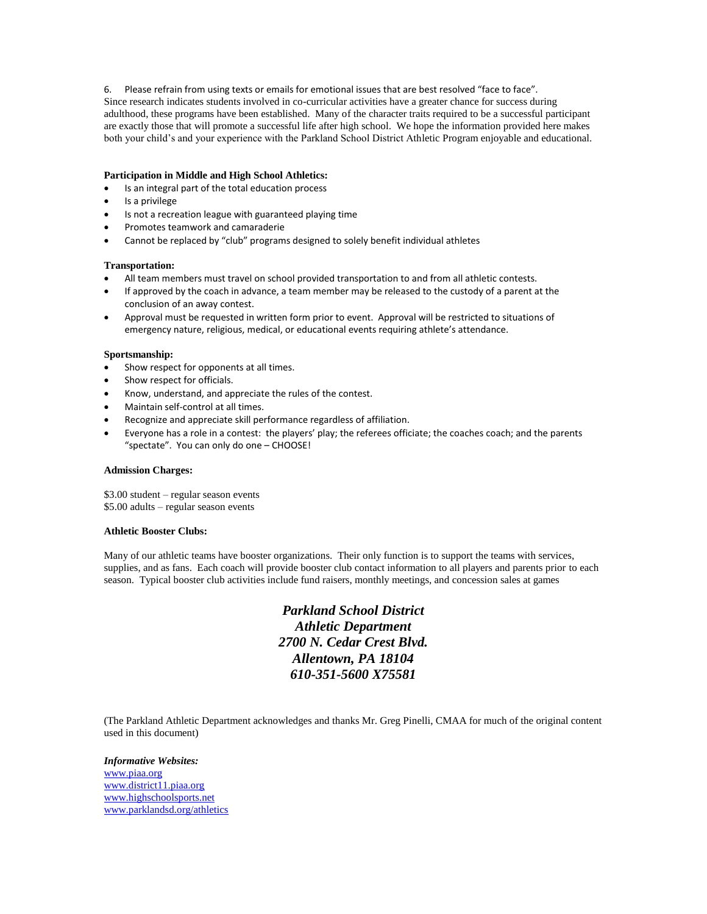6. Please refrain from using texts or emails for emotional issues that are best resolved "face to face".

Since research indicates students involved in co-curricular activities have a greater chance for success during adulthood, these programs have been established. Many of the character traits required to be a successful participant are exactly those that will promote a successful life after high school. We hope the information provided here makes both your child's and your experience with the Parkland School District Athletic Program enjoyable and educational.

#### **Participation in Middle and High School Athletics:**

- Is an integral part of the total education process
- Is a privilege
- Is not a recreation league with guaranteed playing time
- Promotes teamwork and camaraderie
- Cannot be replaced by "club" programs designed to solely benefit individual athletes

#### **Transportation:**

- All team members must travel on school provided transportation to and from all athletic contests.
- If approved by the coach in advance, a team member may be released to the custody of a parent at the conclusion of an away contest.
- Approval must be requested in written form prior to event. Approval will be restricted to situations of emergency nature, religious, medical, or educational events requiring athlete's attendance.

#### **Sportsmanship:**

- Show respect for opponents at all times.
- Show respect for officials.
- Know, understand, and appreciate the rules of the contest.
- Maintain self-control at all times.
- Recognize and appreciate skill performance regardless of affiliation.
- Everyone has a role in a contest: the players' play; the referees officiate; the coaches coach; and the parents "spectate". You can only do one – CHOOSE!

#### **Admission Charges:**

\$3.00 student – regular season events \$5.00 adults – regular season events

#### **Athletic Booster Clubs:**

Many of our athletic teams have booster organizations. Their only function is to support the teams with services, supplies, and as fans. Each coach will provide booster club contact information to all players and parents prior to each season. Typical booster club activities include fund raisers, monthly meetings, and concession sales at games

> *Parkland School District Athletic Department 2700 N. Cedar Crest Blvd. Allentown, PA 18104 610-351-5600 X75581*

(The Parkland Athletic Department acknowledges and thanks Mr. Greg Pinelli, CMAA for much of the original content used in this document)

*Informative Websites:* [www.piaa.org](http://www.piaa.org/) [www.district11.piaa.org](http://www.district11.piaa.org/) [www.highschoolsports.net](http://www.highschoolsports.net/) [www.parklandsd.org/athletics](http://www.parklandsd.org/athletics)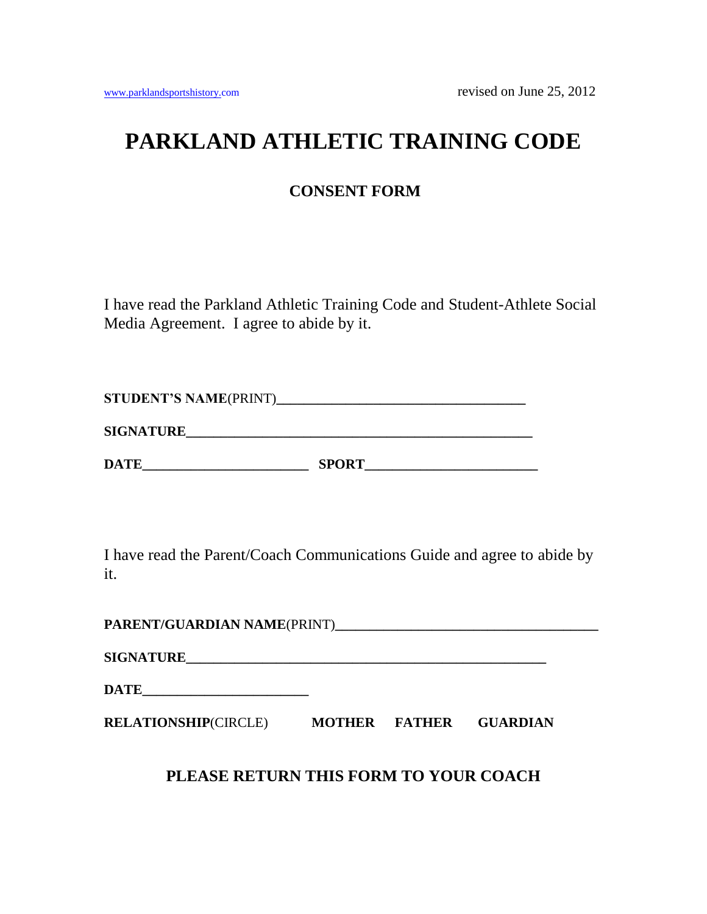## **PARKLAND ATHLETIC TRAINING CODE**

## **CONSENT FORM**

I have read the Parkland Athletic Training Code and Student-Athlete Social Media Agreement. I agree to abide by it.

| <b>STUDENT'S NAME(PRINT)</b> |  |
|------------------------------|--|
|------------------------------|--|

**SIGNATURE\_\_\_\_\_\_\_\_\_\_\_\_\_\_\_\_\_\_\_\_\_\_\_\_\_\_\_\_\_\_\_\_\_\_\_\_\_\_\_\_\_\_\_\_\_\_\_\_\_\_**

**DATE\_\_\_\_\_\_\_\_\_\_\_\_\_\_\_\_\_\_\_\_\_\_\_\_ SPORT\_\_\_\_\_\_\_\_\_\_\_\_\_\_\_\_\_\_\_\_\_\_\_\_\_**

I have read the Parent/Coach Communications Guide and agree to abide by it.

**PARENT/GUARDIAN NAME**(PRINT)**\_\_\_\_\_\_\_\_\_\_\_\_\_\_\_\_\_\_\_\_\_\_\_\_\_\_\_\_\_\_\_\_\_\_\_\_\_\_**

**SIGNATURE\_\_\_\_\_\_\_\_\_\_\_\_\_\_\_\_\_\_\_\_\_\_\_\_\_\_\_\_\_\_\_\_\_\_\_\_\_\_\_\_\_\_\_\_\_\_\_\_\_\_\_\_**

**DATE\_\_\_\_\_\_\_\_\_\_\_\_\_\_\_\_\_\_\_\_\_\_\_\_**

**RELATIONSHIP**(CIRCLE) **MOTHER FATHER GUARDIAN**

**PLEASE RETURN THIS FORM TO YOUR COACH**